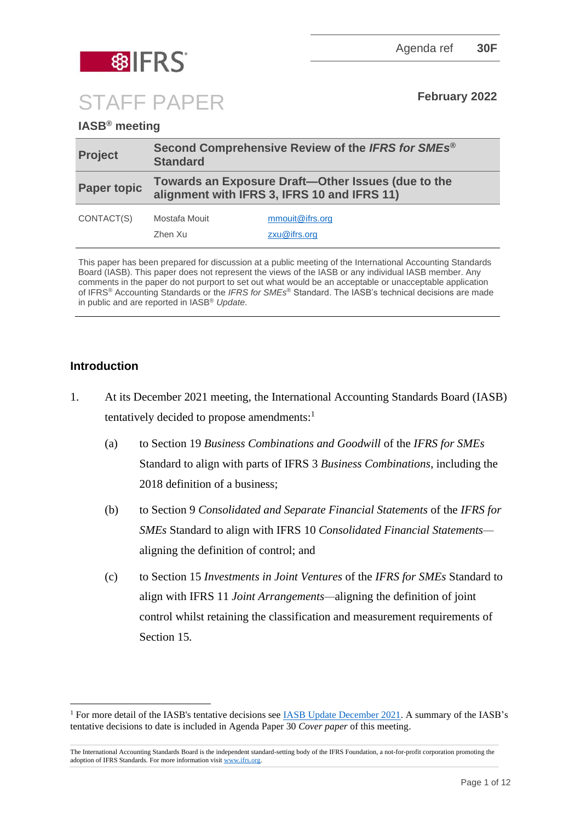| <b>Project</b>                   | Second Comprehensive Review of the IFRS for SMEs <sup>®</sup><br><b>Standard</b><br>Towards an Exposure Draft-Other Issues (due to the<br>alignment with IFRS 3, IFRS 10 and IFRS 11) |                 |
|----------------------------------|---------------------------------------------------------------------------------------------------------------------------------------------------------------------------------------|-----------------|
| <b>Paper topic</b><br>CONTACT(S) |                                                                                                                                                                                       |                 |
|                                  | Mostafa Mouit                                                                                                                                                                         | mmouit@ifrs.org |
|                                  | Zhen Xu                                                                                                                                                                               | zxu@ifrs.org    |

## **Introduction**

- <span id="page-0-0"></span>1. At its December 2021 meeting, the International Accounting Standards Board (IASB) tentatively decided to propose amendments:<sup>1</sup>
	- (a) to Section 19 *Business Combinations and Goodwill* of the *IFRS for SMEs* Standard to align with parts of IFRS 3 *Business Combinations*, including the 2018 definition of a business;
	- (b) to Section 9 *Consolidated and Separate Financial Statements* of the *IFRS for SMEs* Standard to align with IFRS 10 *Consolidated Financial Statements* aligning the definition of control; and
	- (c) to Section 15 *Investments in Joint Ventures* of the *IFRS for SMEs* Standard to align with IFRS 11 *Joint Arrangements—*aligning the definition of joint control whilst retaining the classification and measurement requirements of Section 15*.*

STAFF PAPER **February <sup>2022</sup>**

<sup>&</sup>lt;sup>1</sup> For more detail of the IASB's tentative decisions see [IASB Update December 2021.](https://www.ifrs.org/news-and-events/updates/iasb/2021/iasb-update-december-2021/#5) A summary of the IASB's tentative decisions to date is included in Agenda Paper 30 *Cover paper* of this meeting.

The International Accounting Standards Board is the independent standard-setting body of the IFRS Foundation, a not-for-profit corporation promoting the adoption of IFRS Standards. For more information visit [www.ifrs.org.](http://www.ifrs.org/)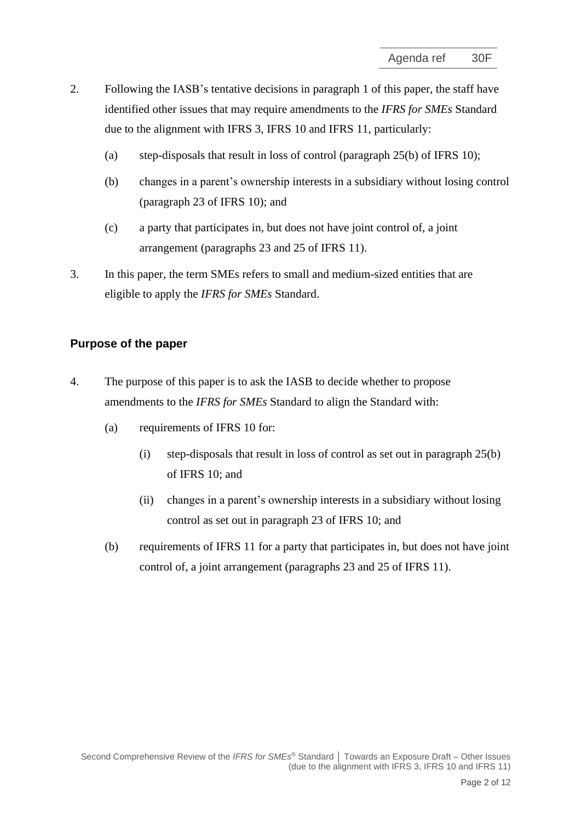- 2. Following the IASB's tentative decisions in paragraph [1](#page-0-0) of this paper, the staff have identified other issues that may require amendments to the *IFRS for SMEs* Standard due to the alignment with IFRS 3, IFRS 10 and IFRS 11, particularly:
	- (a) step-disposals that result in loss of control (paragraph 25(b) of IFRS 10);
	- (b) changes in a parent's ownership interests in a subsidiary without losing control (paragraph 23 of IFRS 10); and
	- (c) a party that participates in, but does not have joint control of, a joint arrangement (paragraphs 23 and 25 of IFRS 11).
- 3. In this paper, the term SMEs refers to small and medium-sized entities that are eligible to apply the *IFRS for SMEs* Standard.

#### **Purpose of the paper**

- 4. The purpose of this paper is to ask the IASB to decide whether to propose amendments to the *IFRS for SMEs* Standard to align the Standard with:
	- (a) requirements of IFRS 10 for:
		- (i) step-disposals that result in loss of control as set out in paragraph  $25(b)$ of IFRS 10; and
		- (ii) changes in a parent's ownership interests in a subsidiary without losing control as set out in paragraph 23 of IFRS 10; and
	- (b) requirements of IFRS 11 for a party that participates in, but does not have joint control of, a joint arrangement (paragraphs 23 and 25 of IFRS 11).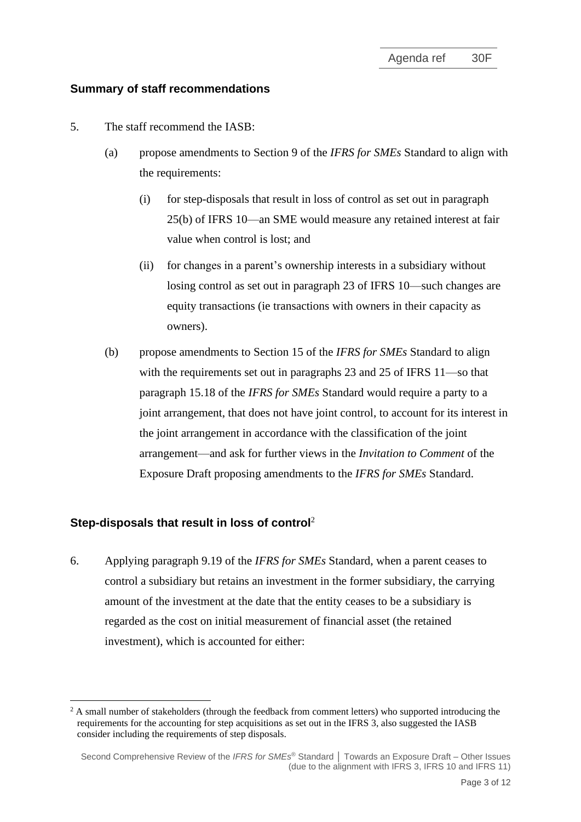#### **Summary of staff recommendations**

- 5. The staff recommend the IASB:
	- (a) propose amendments to Section 9 of the *IFRS for SMEs* Standard to align with the requirements:
		- (i) for step-disposals that result in loss of control as set out in paragraph 25(b) of IFRS 10—an SME would measure any retained interest at fair value when control is lost; and
		- (ii) for changes in a parent's ownership interests in a subsidiary without losing control as set out in paragraph 23 of IFRS 10—such changes are equity transactions (ie transactions with owners in their capacity as owners).
	- (b) propose amendments to Section 15 of the *IFRS for SMEs* Standard to align with the requirements set out in paragraphs 23 and 25 of IFRS 11—so that paragraph 15.18 of the *IFRS for SMEs* Standard would require a party to a joint arrangement, that does not have joint control, to account for its interest in the joint arrangement in accordance with the classification of the joint arrangement—and ask for further views in the *Invitation to Comment* of the Exposure Draft proposing amendments to the *IFRS for SMEs* Standard.

#### **Step-disposals that result in loss of control**<sup>2</sup>

6. Applying paragraph 9.19 of the *IFRS for SMEs* Standard, when a parent ceases to control a subsidiary but retains an investment in the former subsidiary, the carrying amount of the investment at the date that the entity ceases to be a subsidiary is regarded as the cost on initial measurement of financial asset (the retained investment), which is accounted for either:

<sup>&</sup>lt;sup>2</sup> A small number of stakeholders (through the feedback from comment letters) who supported introducing the requirements for the accounting for step acquisitions as set out in the IFRS 3, also suggested the IASB consider including the requirements of step disposals.

Second Comprehensive Review of the *IFRS for SMEs* ® Standard **│** Towards an Exposure Draft – Other Issues (due to the alignment with IFRS 3, IFRS 10 and IFRS 11)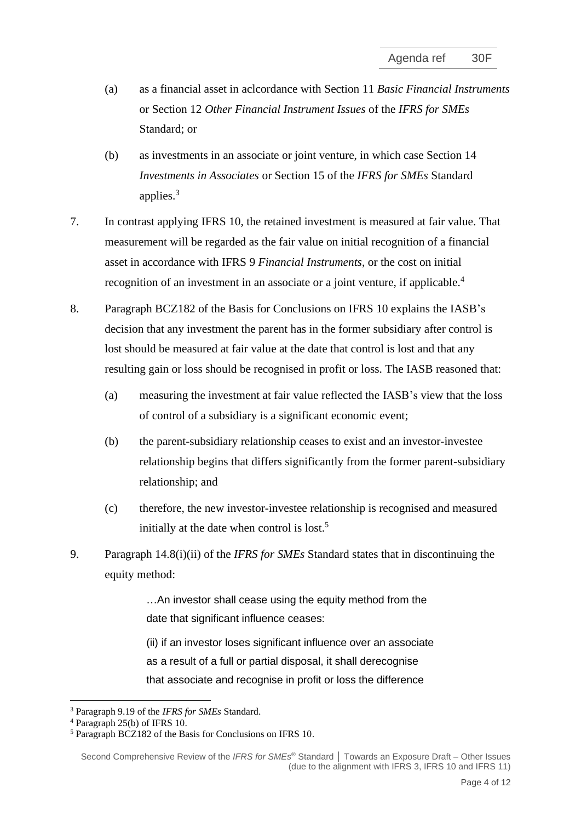- (a) as a financial asset in aclcordance with Section 11 *Basic Financial Instruments*  or Section 12 *Other Financial Instrument Issues* of the *IFRS for SMEs* Standard; or
- (b) as investments in an associate or joint venture, in which case Section 14 *Investments in Associates* or Section 15 of the *IFRS for SMEs* Standard applies.<sup>3</sup>
- 7. In contrast applying IFRS 10, the retained investment is measured at fair value. That measurement will be regarded as the fair value on initial recognition of a financial asset in accordance with IFRS 9 *Financial Instruments*, or the cost on initial recognition of an investment in an associate or a joint venture, if applicable.<sup>4</sup>
- 8. Paragraph BCZ182 of the Basis for Conclusions on IFRS 10 explains the IASB's decision that any investment the parent has in the former subsidiary after control is lost should be measured at fair value at the date that control is lost and that any resulting gain or loss should be recognised in profit or loss. The IASB reasoned that:
	- (a) measuring the investment at fair value reflected the IASB's view that the loss of control of a subsidiary is a significant economic event;
	- (b) the parent-subsidiary relationship ceases to exist and an investor-investee relationship begins that differs significantly from the former parent-subsidiary relationship; and
	- (c) therefore, the new investor-investee relationship is recognised and measured initially at the date when control is lost.<sup>5</sup>
- 9. Paragraph 14.8(i)(ii) of the *IFRS for SMEs* Standard states that in discontinuing the equity method:

…An investor shall cease using the equity method from the date that significant influence ceases:

(ii) if an investor loses significant influence over an associate as a result of a full or partial disposal, it shall derecognise that associate and recognise in profit or loss the difference

<sup>3</sup> Paragraph 9.19 of the *IFRS for SMEs* Standard.

<sup>4</sup> Paragraph 25(b) of IFRS 10.

<sup>5</sup> Paragraph BCZ182 of the Basis for Conclusions on IFRS 10.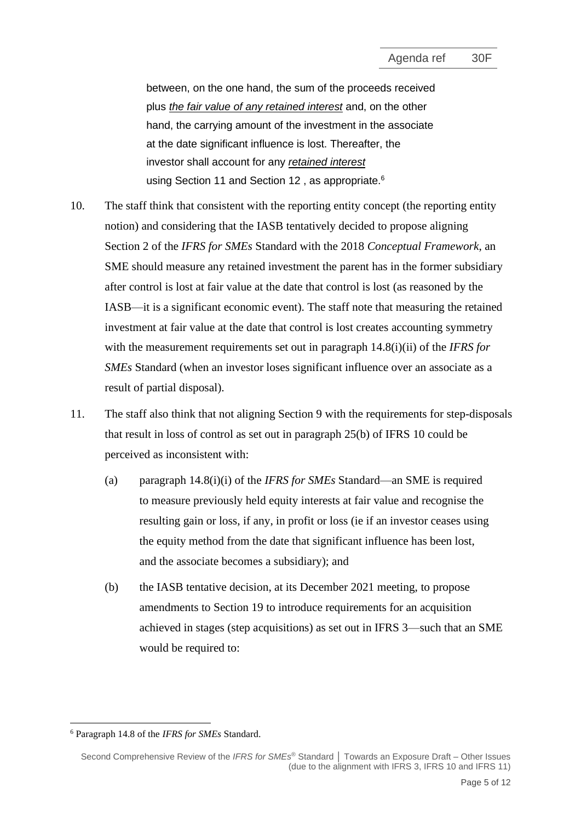between, on the one hand, the sum of the proceeds received plus *the fair value of any retained interest* and, on the other hand, the carrying amount of the investment in the associate at the date significant influence is lost. Thereafter, the investor shall account for any *retained interest* using [Section](https://eifrs.ifrs.org/eifrs/ViewContent?collection=IFRS_for_SMEs&fn=SMES_CHK_CHAPTER.html&scrollTo=IFRS_FOR_SMES_Section11) 11 and [Section 12](https://eifrs.ifrs.org/eifrs/ViewContent?collection=IFRS_for_SMEs&fn=SMES_CHK_CHAPTER.html&scrollTo=IFRS_FOR_SMES_Section12), as appropriate.<sup>6</sup>

- 10. The staff think that consistent with the reporting entity concept (the reporting entity notion) and considering that the IASB tentatively decided to propose aligning Section 2 of the *IFRS for SMEs* Standard with the 2018 *Conceptual Framework*, an SME should measure any retained investment the parent has in the former subsidiary after control is lost at fair value at the date that control is lost (as reasoned by the IASB—it is a significant economic event). The staff note that measuring the retained investment at fair value at the date that control is lost creates accounting symmetry with the measurement requirements set out in paragraph 14.8(i)(ii) of the *IFRS for SMEs* Standard (when an investor loses significant influence over an associate as a result of partial disposal).
- 11. The staff also think that not aligning Section 9 with the requirements for step-disposals that result in loss of control as set out in paragraph 25(b) of IFRS 10 could be perceived as inconsistent with:
	- (a) paragraph 14.8(i)(i) of the *IFRS for SMEs* Standard—an SME is required to measure previously held equity interests at fair value and recognise the resulting gain or loss, if any, in profit or loss (ie if an investor ceases using the equity method from the date that significant influence has been lost, and the associate becomes a subsidiary); and
	- (b) the IASB tentative decision, at its December 2021 meeting, to propose amendments to Section 19 to introduce requirements for an acquisition achieved in stages (step acquisitions) as set out in IFRS 3—such that an SME would be required to:

<sup>6</sup> Paragraph 14.8 of the *IFRS for SMEs* Standard.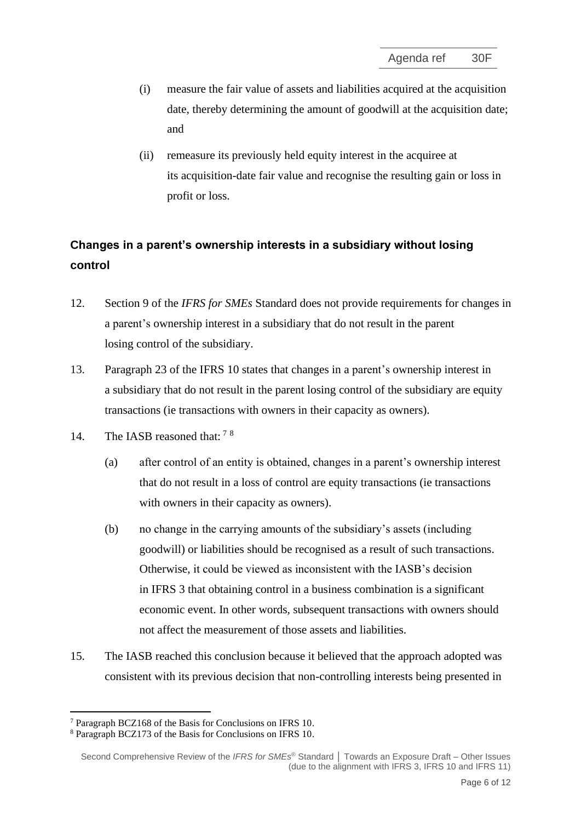- (i) measure the fair value of assets and liabilities acquired at the acquisition date, thereby determining the amount of goodwill at the acquisition date; and
- (ii) remeasure its previously held equity interest in the acquiree at its [acquisition-date](https://eifrs.ifrs.org/eifrs/ViewContent?collection=2021_Annotated_Required_Standards&fn=IFRS03_APPA.html&scrollTo=IFRS03_APPA__IFRS03_P0298) [fair value](https://eifrs.ifrs.org/eifrs/ViewContent?collection=2021_Annotated_Required_Standards&fn=IFRS03_APPA.html&scrollTo=IFRS03_APPA__IFRS03_P0309) and recognise the resulting gain or loss in profit or loss.

# **Changes in a parent's ownership interests in a subsidiary without losing control**

- 12. Section 9 of the *IFRS for SMEs* Standard does not provide requirements for changes in a [parent's](https://eifrs.ifrs.org/eifrs/ViewContent?collection=2021_Annotated_Required_Standards&fn=IFRS10_APPA.html&scrollTo=IFRS10_APPA__IFRS10_P0174) ownership interest in a [subsidiary](https://eifrs.ifrs.org/eifrs/ViewContent?collection=2021_Annotated_Required_Standards&fn=IFRS10_APPA.html&scrollTo=IFRS10_APPA__IFRS10_P0188) that do not result in the parent losing [control](https://eifrs.ifrs.org/eifrs/ViewContent?collection=2021_Annotated_Required_Standards&fn=IFRS10_APPA.html&scrollTo=IFRS10_APPA__IFRS10_P0160) of the subsidiary.
- 13. Paragraph 23 of the IFRS 10 states that changes in a [parent's](https://eifrs.ifrs.org/eifrs/ViewContent?collection=2021_Annotated_Required_Standards&fn=IFRS10_APPA.html&scrollTo=IFRS10_APPA__IFRS10_P0174) ownership interest in a [subsidiary](https://eifrs.ifrs.org/eifrs/ViewContent?collection=2021_Annotated_Required_Standards&fn=IFRS10_APPA.html&scrollTo=IFRS10_APPA__IFRS10_P0188) that do not result in the parent losing [control](https://eifrs.ifrs.org/eifrs/ViewContent?collection=2021_Annotated_Required_Standards&fn=IFRS10_APPA.html&scrollTo=IFRS10_APPA__IFRS10_P0160) of the subsidiary are equity transactions (ie transactions with owners in their capacity as owners).
- 14. The IASB reasoned that:  $78$ 
	- (a) after control of an entity is obtained, changes in a parent's ownership interest that do not result in a loss of control are equity transactions (ie transactions with owners in their capacity as owners).
	- (b) no change in the carrying amounts of the subsidiary's assets (including goodwill) or liabilities should be recognised as a result of such transactions. Otherwise, it could be viewed as inconsistent with the IASB's decision in IFRS 3 that obtaining control in a business combination is a significant economic event. In other words, subsequent transactions with owners should not affect the measurement of those assets and liabilities.
- 15. The IASB reached this conclusion because it believed that the approach adopted was consistent with its previous decision that non-controlling interests being presented in

<sup>7</sup> Paragraph BCZ168 of the Basis for Conclusions on IFRS 10.

<sup>8</sup> Paragraph BCZ173 of the Basis for Conclusions on IFRS 10.

Second Comprehensive Review of the *IFRS for SMEs* ® Standard **│** Towards an Exposure Draft – Other Issues (due to the alignment with IFRS 3, IFRS 10 and IFRS 11)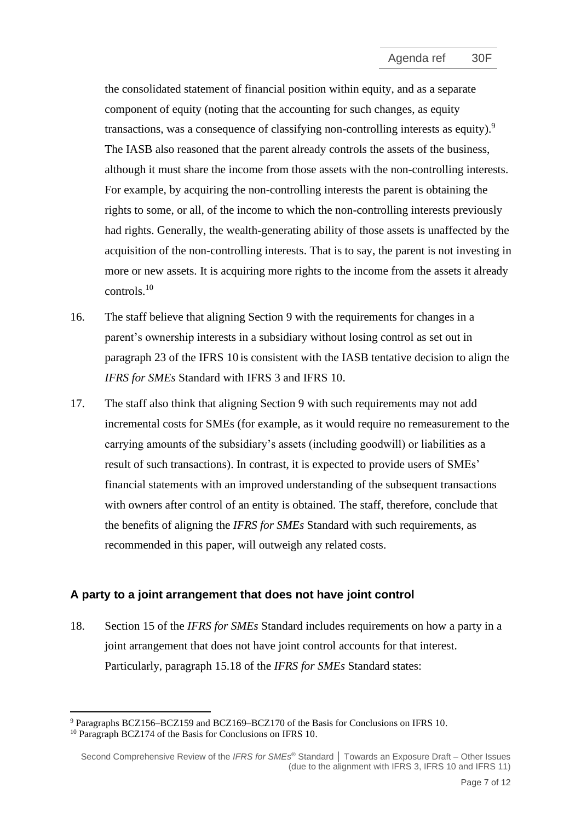the consolidated statement of financial position within equity, and as a separate component of equity (noting that the accounting for such changes, as equity transactions, was a consequence of classifying non-controlling interests as equity).<sup>9</sup> The IASB also reasoned that the parent already controls the assets of the business, although it must share the income from those assets with the non-controlling interests. For example, by acquiring the non-controlling interests the parent is obtaining the rights to some, or all, of the income to which the non-controlling interests previously had rights. Generally, the wealth-generating ability of those assets is unaffected by the acquisition of the non-controlling interests. That is to say, the parent is not investing in more or new assets. It is acquiring more rights to the income from the assets it already controls.<sup>10</sup>

- 16. The staff believe that aligning Section 9 with the requirements for changes in a parent's ownership interests in a subsidiary without losing control as set out in paragraph 23 of the IFRS 10 is consistent with the IASB tentative decision to align the *IFRS for SMEs* Standard with IFRS 3 and IFRS 10.
- 17. The staff also think that aligning Section 9 with such requirements may not add incremental costs for SMEs (for example, as it would require no remeasurement to the carrying amounts of the subsidiary's assets (including goodwill) or liabilities as a result of such transactions). In contrast, it is expected to provide users of SMEs' financial statements with an improved understanding of the subsequent transactions with owners after control of an entity is obtained. The staff, therefore, conclude that the benefits of aligning the *IFRS for SMEs* Standard with such requirements, as recommended in this paper, will outweigh any related costs.

## **A party to a joint arrangement that does not have joint control**

18. Section 15 of the *IFRS for SMEs* Standard includes requirements on how a party in a joint arrangement that does not have joint control accounts for that interest. Particularly, paragraph 15.18 of the *IFRS for SMEs* Standard states:

<sup>9</sup> Paragraphs BCZ156–BCZ159 and BCZ169–BCZ170 of the Basis for Conclusions on IFRS 10.

<sup>&</sup>lt;sup>10</sup> Paragraph BCZ174 of the Basis for Conclusions on IFRS 10.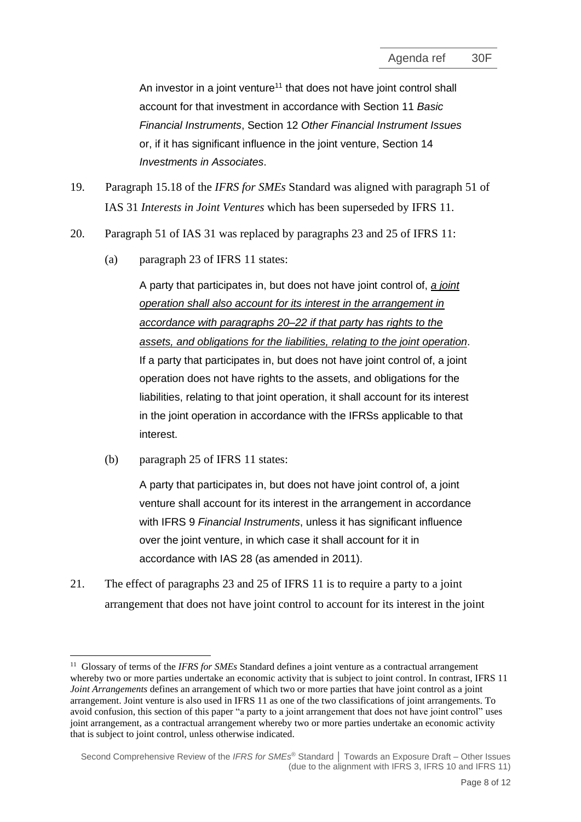An investor in a joint venture<sup>11</sup> that does not have joint control shall account for that investment in accordance with Section 11 *Basic Financial Instruments*, Section 12 *Other Financial Instrument Issues* or, if it has significant influence in the joint venture, Section 14 *Investments in Associates*.

- 19. Paragraph 15.18 of the *IFRS for SMEs* Standard was aligned with paragraph 51 of IAS 31 *Interests in Joint Ventures* which has been superseded by IFRS 11.
- 20. Paragraph 51 of IAS 31 was replaced by paragraphs 23 and 25 of IFRS 11:
	- (a) paragraph 23 of IFRS 11 states:

A party that participates in, but does not have joint control of, *a joint operation shall also account for its interest in the arrangement in accordance with paragraphs 20–22 if that party has rights to the assets, and obligations for the liabilities, relating to the joint operation*. If a party that participates in, but does not have joint control of, a joint operation does not have rights to the assets, and obligations for the liabilities, relating to that joint operation, it shall account for its interest in the joint operation in accordance with the IFRSs applicable to that interest.

(b) paragraph 25 of IFRS 11 states:

A party that participates in, but does not have joint control of, a joint venture shall account for its interest in the arrangement in accordance with IFRS 9 *Financial Instruments*, unless it has significant influence over the joint venture, in which case it shall account for it in accordance with IAS 28 (as amended in 2011).

21. The effect of paragraphs 23 and 25 of IFRS 11 is to require a party to a joint arrangement that does not have joint control to account for its interest in the joint

<sup>&</sup>lt;sup>11</sup> Glossary of terms of the *IFRS for SMEs* Standard defines a joint venture as a contractual arrangement whereby two or more parties undertake an economic activity that is subject to joint control. In contrast, IFRS 11 *Joint Arrangements* defines an arrangement of which two or more parties that have joint control as a joint arrangement. Joint venture is also used in IFRS 11 as one of the two classifications of joint arrangements. To avoid confusion, this section of this paper "a party to a joint arrangement that does not have joint control" uses joint arrangement, as a contractual arrangement whereby two or more parties undertake an economic activity that is subject to joint control, unless otherwise indicated.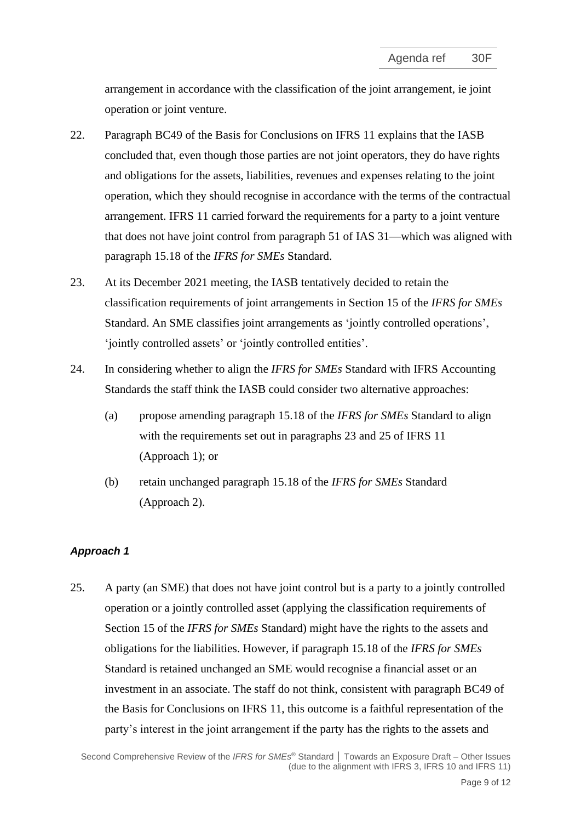arrangement in accordance with the classification of the joint arrangement, ie joint operation or joint venture.

- 22. Paragraph BC49 of the Basis for Conclusions on IFRS 11 explains that the IASB concluded that, even though those parties are not joint operators, they do have rights and obligations for the assets, liabilities, revenues and expenses relating to the joint operation, which they should recognise in accordance with the terms of the contractual arrangement. IFRS 11 carried forward the requirements for a party to a joint venture that does not have joint control from paragraph 51 of IAS 31—which was aligned with paragraph 15.18 of the *IFRS for SMEs* Standard.
- 23. At its December 2021 meeting, the IASB tentatively decided to retain the classification requirements of joint arrangements in Section 15 of the *IFRS for SMEs* Standard. An SME classifies joint arrangements as 'jointly controlled operations', 'jointly controlled assets' or 'jointly controlled entities'.
- 24. In considering whether to align the *IFRS for SMEs* Standard with IFRS Accounting Standards the staff think the IASB could consider two alternative approaches:
	- (a) propose amending paragraph 15.18 of the *IFRS for SMEs* Standard to align with the requirements set out in paragraphs 23 and 25 of IFRS 11 (Approach 1); or
	- (b) retain unchanged paragraph 15.18 of the *IFRS for SMEs* Standard (Approach 2).

#### *Approach 1*

<span id="page-8-0"></span>25. A party (an SME) that does not have joint control but is a party to a jointly controlled operation or a jointly controlled asset (applying the classification requirements of Section 15 of the *IFRS for SMEs* Standard) might have the rights to the assets and obligations for the liabilities. However, if paragraph 15.18 of the *IFRS for SMEs* Standard is retained unchanged an SME would recognise a financial asset or an investment in an associate. The staff do not think, consistent with paragraph BC49 of the Basis for Conclusions on IFRS 11, this outcome is a faithful representation of the party's interest in the joint arrangement if the party has the rights to the assets and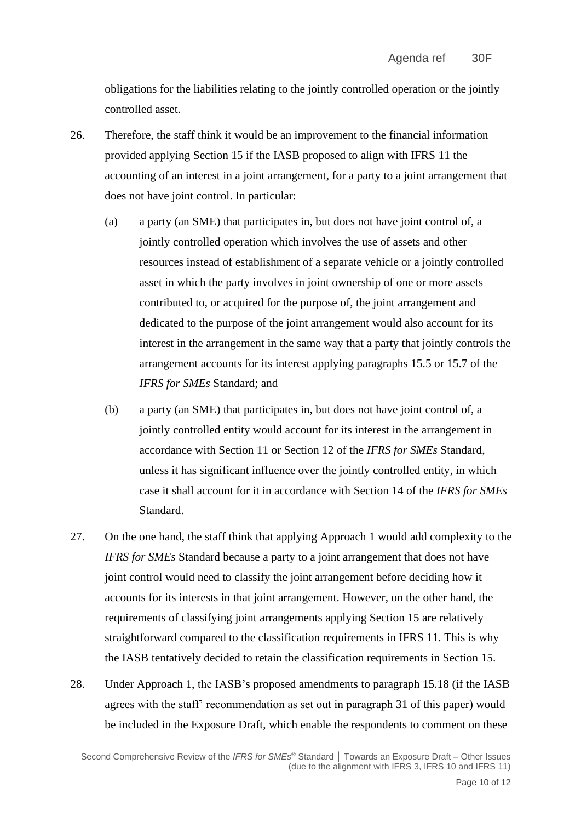obligations for the liabilities relating to the jointly controlled operation or the jointly controlled asset.

- 26. Therefore, the staff think it would be an improvement to the financial information provided applying Section 15 if the IASB proposed to align with IFRS 11 the accounting of an interest in a joint arrangement, for a party to a joint arrangement that does not have joint control. In particular:
	- (a) a party (an SME) that participates in, but does not have joint control of, a jointly controlled operation which involves the use of assets and other resources instead of establishment of a separate vehicle or a jointly controlled asset in which the party involves in joint ownership of one or more assets contributed to, or acquired for the purpose of, the joint arrangement and dedicated to the purpose of the joint arrangement would also account for its interest in the arrangement in the same way that a party that jointly controls the arrangement accounts for its interest applying paragraphs 15.5 or 15.7 of the *IFRS for SMEs* Standard; and
	- (b) a party (an SME) that participates in, but does not have joint control of, a jointly controlled entity would account for its interest in the arrangement in accordance with Section 11 or Section 12 of the *IFRS for SMEs* Standard, unless it has significant influence over the jointly controlled entity, in which case it shall account for it in accordance with Section 14 of the *IFRS for SMEs* Standard.
- <span id="page-9-0"></span>27. On the one hand, the staff think that applying Approach 1 would add complexity to the *IFRS for SMEs* Standard because a party to a joint arrangement that does not have joint control would need to classify the joint arrangement before deciding how it accounts for its interests in that joint arrangement. However, on the other hand, the requirements of classifying joint arrangements applying Section 15 are relatively straightforward compared to the classification requirements in IFRS 11. This is why the IASB tentatively decided to retain the classification requirements in Section 15.
- 28. Under Approach 1, the IASB's proposed amendments to paragraph 15.18 (if the IASB agrees with the staff' recommendation as set out in paragraph [31](#page-10-0) of this paper) would be included in the Exposure Draft, which enable the respondents to comment on these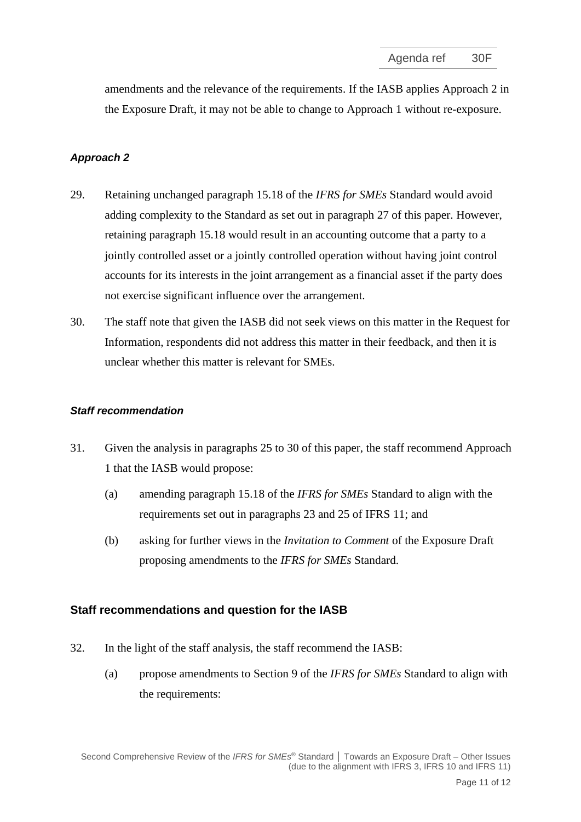amendments and the relevance of the requirements. If the IASB applies Approach 2 in the Exposure Draft, it may not be able to change to Approach 1 without re-exposure.

## *Approach 2*

- 29. Retaining unchanged paragraph 15.18 of the *IFRS for SMEs* Standard would avoid adding complexity to the Standard as set out in paragraph [27](#page-9-0) of this paper. However, retaining paragraph 15.18 would result in an accounting outcome that a party to a jointly controlled asset or a jointly controlled operation without having joint control accounts for its interests in the joint arrangement as a financial asset if the party does not exercise significant influence over the arrangement.
- <span id="page-10-1"></span>30. The staff note that given the IASB did not seek views on this matter in the Request for Information, respondents did not address this matter in their feedback, and then it is unclear whether this matter is relevant for SMEs.

#### *Staff recommendation*

- <span id="page-10-0"></span>31. Given the analysis in paragraphs [25](#page-8-0) to [30](#page-10-1) of this paper, the staff recommend Approach 1 that the IASB would propose:
	- (a) amending paragraph 15.18 of the *IFRS for SMEs* Standard to align with the requirements set out in paragraphs 23 and 25 of IFRS 11; and
	- (b) asking for further views in the *Invitation to Comment* of the Exposure Draft proposing amendments to the *IFRS for SMEs* Standard.

#### **Staff recommendations and question for the IASB**

- 32. In the light of the staff analysis, the staff recommend the IASB:
	- (a) propose amendments to Section 9 of the *IFRS for SMEs* Standard to align with the requirements: